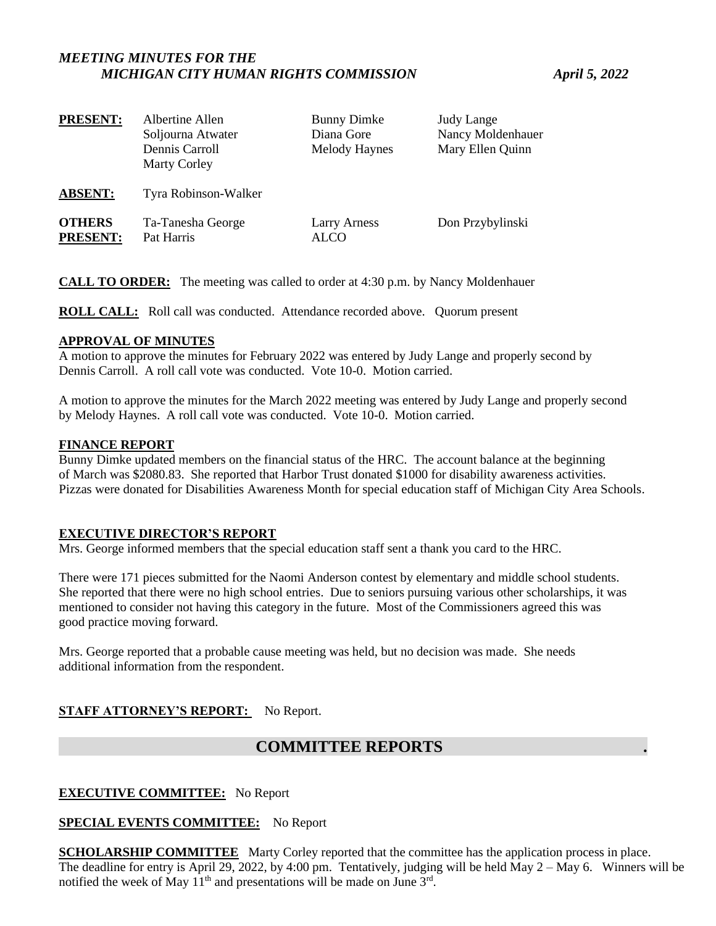# *MEETING MINUTES FOR THE MICHIGAN CITY HUMAN RIGHTS COMMISSION April 5, 2022*

| <b>PRESENT:</b>                  | Albertine Allen<br>Soljourna Atwater<br>Dennis Carroll<br><b>Marty Corley</b> | <b>Bunny Dimke</b><br>Diana Gore<br><b>Melody Haynes</b> | <b>Judy Lange</b><br>Nancy Moldenhauer<br>Mary Ellen Quinn |
|----------------------------------|-------------------------------------------------------------------------------|----------------------------------------------------------|------------------------------------------------------------|
| <b>ABSENT:</b>                   | Tyra Robinson-Walker                                                          |                                                          |                                                            |
| <b>OTHERS</b><br><b>PRESENT:</b> | Ta-Tanesha George<br>Pat Harris                                               | Larry Arness<br><b>ALCO</b>                              | Don Przybylinski                                           |

**CALL TO ORDER:** The meeting was called to order at 4:30 p.m. by Nancy Moldenhauer

**ROLL CALL:** Roll call was conducted. Attendance recorded above. Quorum present

# **APPROVAL OF MINUTES**

A motion to approve the minutes for February 2022 was entered by Judy Lange and properly second by Dennis Carroll. A roll call vote was conducted. Vote 10-0. Motion carried.

A motion to approve the minutes for the March 2022 meeting was entered by Judy Lange and properly second by Melody Haynes. A roll call vote was conducted. Vote 10-0. Motion carried.

## **FINANCE REPORT**

Bunny Dimke updated members on the financial status of the HRC. The account balance at the beginning of March was \$2080.83. She reported that Harbor Trust donated \$1000 for disability awareness activities. Pizzas were donated for Disabilities Awareness Month for special education staff of Michigan City Area Schools.

## **EXECUTIVE DIRECTOR'S REPORT**

Mrs. George informed members that the special education staff sent a thank you card to the HRC.

There were 171 pieces submitted for the Naomi Anderson contest by elementary and middle school students. She reported that there were no high school entries. Due to seniors pursuing various other scholarships, it was mentioned to consider not having this category in the future. Most of the Commissioners agreed this was good practice moving forward.

Mrs. George reported that a probable cause meeting was held, but no decision was made. She needs additional information from the respondent.

# **STAFF ATTORNEY'S REPORT:** No Report.

# **COMMITTEE REPORTS**

## **EXECUTIVE COMMITTEE:** No Report

## **SPECIAL EVENTS COMMITTEE:** No Report

**SCHOLARSHIP COMMITTEE** Marty Corley reported that the committee has the application process in place. The deadline for entry is April 29, 2022, by 4:00 pm. Tentatively, judging will be held May 2 – May 6. Winners will be notified the week of May  $11<sup>th</sup>$  and presentations will be made on June  $3<sup>rd</sup>$ .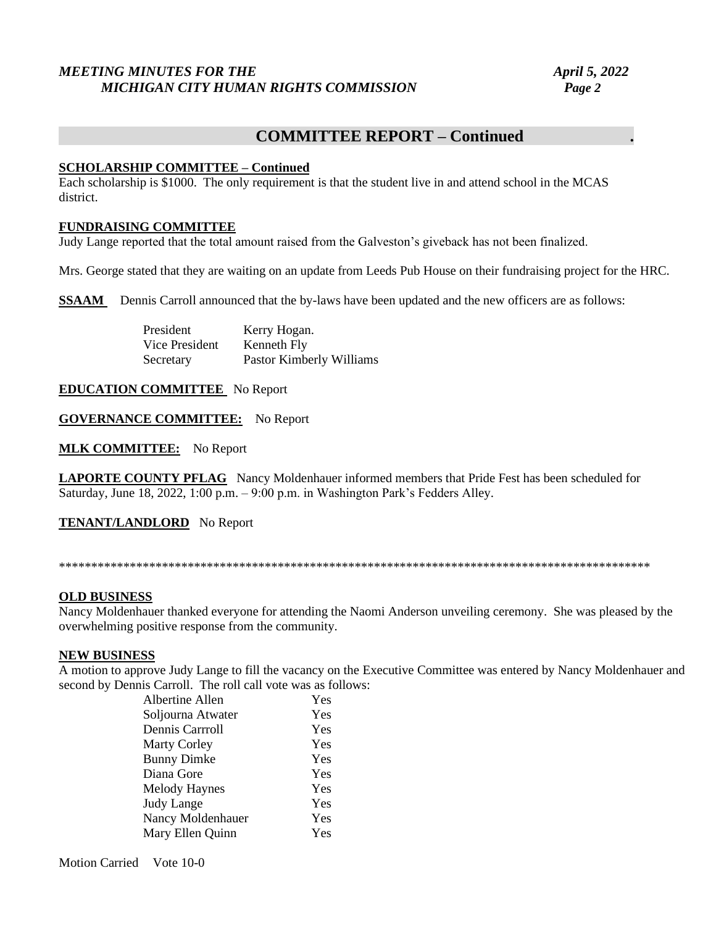# *MEETING MINUTES FOR THE* April 5, 2022 *MICHIGAN CITY HUMAN RIGHTS COMMISSION Page 2*

# **COMMITTEE REPORT – Continued .**

# **SCHOLARSHIP COMMITTEE – Continued**

Each scholarship is \$1000. The only requirement is that the student live in and attend school in the MCAS district.

#### **FUNDRAISING COMMITTEE**

Judy Lange reported that the total amount raised from the Galveston's giveback has not been finalized.

Mrs. George stated that they are waiting on an update from Leeds Pub House on their fundraising project for the HRC.

**SSAAM** Dennis Carroll announced that the by-laws have been updated and the new officers are as follows:

President Kerry Hogan. Vice President Kenneth Fly Secretary Pastor Kimberly Williams

## **EDUCATION COMMITTEE** No Report

## **GOVERNANCE COMMITTEE:** No Report

**MLK COMMITTEE:** No Report

**LAPORTE COUNTY PFLAG** Nancy Moldenhauer informed members that Pride Fest has been scheduled for Saturday, June 18, 2022, 1:00 p.m. – 9:00 p.m. in Washington Park's Fedders Alley.

**TENANT/LANDLORD** No Report

\*\*\*\*\*\*\*\*\*\*\*\*\*\*\*\*\*\*\*\*\*\*\*\*\*\*\*\*\*\*\*\*\*\*\*\*\*\*\*\*\*\*\*\*\*\*\*\*\*\*\*\*\*\*\*\*\*\*\*\*\*\*\*\*\*\*\*\*\*\*\*\*\*\*\*\*\*\*\*\*\*\*\*\*\*\*\*\*\*\*\*\*

## **OLD BUSINESS**

Nancy Moldenhauer thanked everyone for attending the Naomi Anderson unveiling ceremony. She was pleased by the overwhelming positive response from the community.

## **NEW BUSINESS**

A motion to approve Judy Lange to fill the vacancy on the Executive Committee was entered by Nancy Moldenhauer and second by Dennis Carroll. The roll call vote was as follows:

> Albertine Allen Yes Soljourna Atwater Yes Dennis Carrroll Yes Marty Corley **Yes** Bunny Dimke Yes Diana Gore Yes Melody Haynes **Yes** Judy Lange Yes Nancy Moldenhauer Yes Mary Ellen Quinn Yes

Motion Carried Vote 10-0